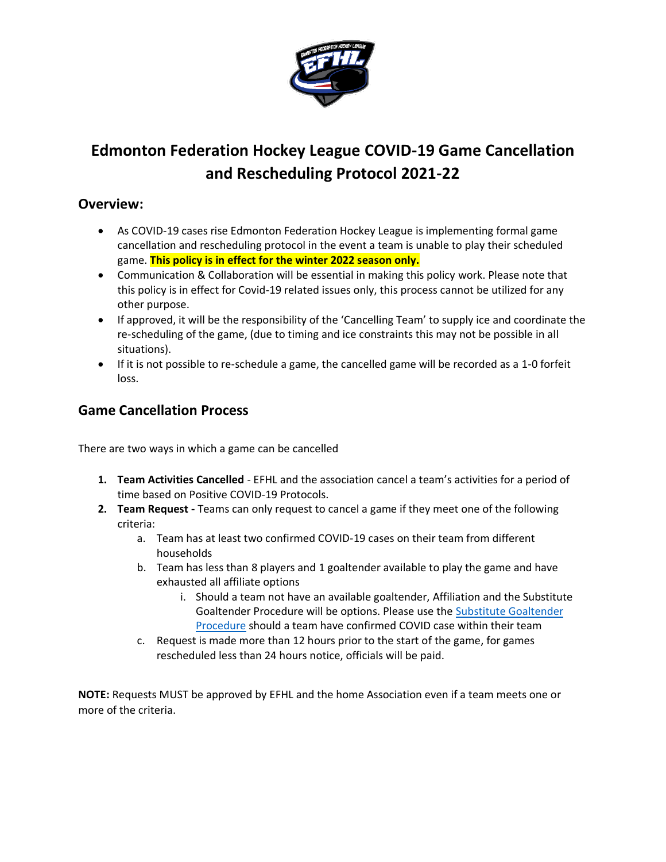

# **Edmonton Federation Hockey League COVID-19 Game Cancellation and Rescheduling Protocol 2021-22**

### **Overview:**

- As COVID-19 cases rise Edmonton Federation Hockey League is implementing formal game cancellation and rescheduling protocol in the event a team is unable to play their scheduled game. **This policy is in effect for the winter 2022 season only.**
- Communication & Collaboration will be essential in making this policy work. Please note that this policy is in effect for Covid-19 related issues only, this process cannot be utilized for any other purpose.
- If approved, it will be the responsibility of the 'Cancelling Team' to supply ice and coordinate the re-scheduling of the game, (due to timing and ice constraints this may not be possible in all situations).
- If it is not possible to re-schedule a game, the cancelled game will be recorded as a 1-0 forfeit loss.

## **Game Cancellation Process**

There are two ways in which a game can be cancelled

- **1. Team Activities Cancelled** EFHL and the association cancel a team's activities for a period of time based on Positive COVID-19 Protocols.
- **2. Team Request -** Teams can only request to cancel a game if they meet one of the following criteria:
	- a. Team has at least two confirmed COVID-19 cases on their team from different households
	- b. Team has less than 8 players and 1 goaltender available to play the game and have exhausted all affiliate options
		- i. Should a team not have an available goaltender, Affiliation and the Substitute Goaltender Procedure will be options. Please use the [Substitute Goaltender](https://www.hockeyalberta.ca/uploads/source/Forms/Substitute_Goaltender_Request.pdf)  [Procedure](https://www.hockeyalberta.ca/uploads/source/Forms/Substitute_Goaltender_Request.pdf) should a team have confirmed COVID case within their team
	- c. Request is made more than 12 hours prior to the start of the game, for games rescheduled less than 24 hours notice, officials will be paid.

**NOTE:** Requests MUST be approved by EFHL and the home Association even if a team meets one or more of the criteria.